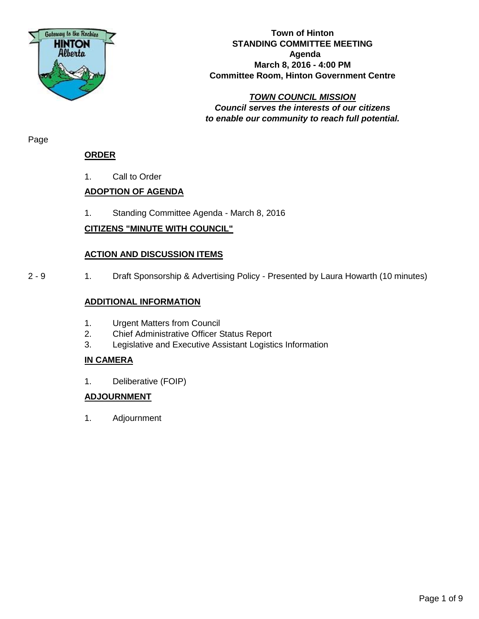

#### **Town of Hinton STANDING COMMITTEE MEETING Agenda March 8, 2016 - 4:00 PM Committee Room, Hinton Government Centre**

*TOWN COUNCIL MISSION Council serves the interests of our citizens to enable our community to reach full potential.*

Page

## **ORDER**

1. Call to Order

# **ADOPTION OF AGENDA**

1. Standing Committee Agenda - March 8, 2016

# **CITIZENS "MINUTE WITH COUNCIL"**

## **ACTION AND DISCUSSION ITEMS**

2 - 9 1. Draft Sponsorship & Advertising Policy - Presented by Laura Howarth (10 minutes)

## **ADDITIONAL INFORMATION**

- 1. Urgent Matters from Council
- 2. Chief Administrative Officer Status Report
- 3. Legislative and Executive Assistant Logistics Information

# **IN CAMERA**

1. Deliberative (FOIP)

# **ADJOURNMENT**

1. Adjournment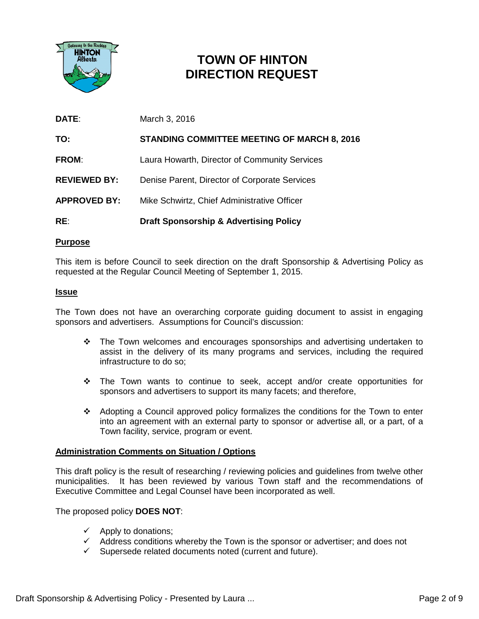

# **TOWN OF HINTON DIRECTION REQUEST**

| RE:                 | <b>Draft Sponsorship &amp; Advertising Policy</b>  |
|---------------------|----------------------------------------------------|
| <b>APPROVED BY:</b> | Mike Schwirtz, Chief Administrative Officer        |
| <b>REVIEWED BY:</b> | Denise Parent, Director of Corporate Services      |
| <b>FROM:</b>        | Laura Howarth, Director of Community Services      |
| TO:                 | <b>STANDING COMMITTEE MEETING OF MARCH 8, 2016</b> |
| <b>DATE:</b>        | March 3, 2016                                      |

#### **Purpose**

This item is before Council to seek direction on the draft Sponsorship & Advertising Policy as requested at the Regular Council Meeting of September 1, 2015.

#### **Issue**

The Town does not have an overarching corporate guiding document to assist in engaging sponsors and advertisers. Assumptions for Council's discussion:

- $\cdot \cdot$  The Town welcomes and encourages sponsorships and advertising undertaken to assist in the delivery of its many programs and services, including the required infrastructure to do so;
- The Town wants to continue to seek, accept and/or create opportunities for sponsors and advertisers to support its many facets; and therefore,
- Adopting a Council approved policy formalizes the conditions for the Town to enter into an agreement with an external party to sponsor or advertise all, or a part, of a Town facility, service, program or event.

#### **Administration Comments on Situation / Options**

This draft policy is the result of researching / reviewing policies and guidelines from twelve other municipalities. It has been reviewed by various Town staff and the recommendations of Executive Committee and Legal Counsel have been incorporated as well.

The proposed policy **DOES NOT**:

- $\checkmark$  Apply to donations;
- $\checkmark$  Address conditions whereby the Town is the sponsor or advertiser; and does not
- $\checkmark$  Supersede related documents noted (current and future).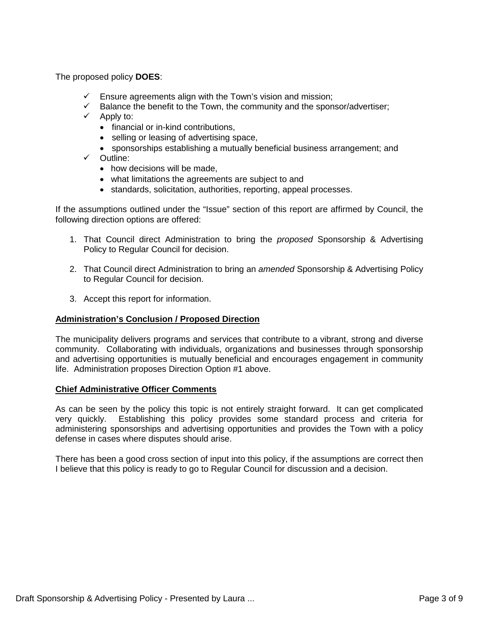The proposed policy **DOES**:

- $\checkmark$  Ensure agreements align with the Town's vision and mission;
- $\checkmark$  Balance the benefit to the Town, the community and the sponsor/advertiser;
- $\checkmark$  Apply to:
	- financial or in-kind contributions,
	- selling or leasing of advertising space,
	- sponsorships establishing a mutually beneficial business arrangement; and
- $\checkmark$  Outline:
	- how decisions will be made.
	- what limitations the agreements are subject to and
	- standards, solicitation, authorities, reporting, appeal processes.

If the assumptions outlined under the "Issue" section of this report are affirmed by Council, the following direction options are offered:

- 1. That Council direct Administration to bring the *proposed* Sponsorship & Advertising Policy to Regular Council for decision.
- 2. That Council direct Administration to bring an *amended* Sponsorship & Advertising Policy to Regular Council for decision.
- 3. Accept this report for information.

#### **Administration's Conclusion / Proposed Direction**

The municipality delivers programs and services that contribute to a vibrant, strong and diverse community. Collaborating with individuals, organizations and businesses through sponsorship and advertising opportunities is mutually beneficial and encourages engagement in community life. Administration proposes Direction Option #1 above.

#### **Chief Administrative Officer Comments**

As can be seen by the policy this topic is not entirely straight forward. It can get complicated very quickly. Establishing this policy provides some standard process and criteria for administering sponsorships and advertising opportunities and provides the Town with a policy defense in cases where disputes should arise.

There has been a good cross section of input into this policy, if the assumptions are correct then I believe that this policy is ready to go to Regular Council for discussion and a decision.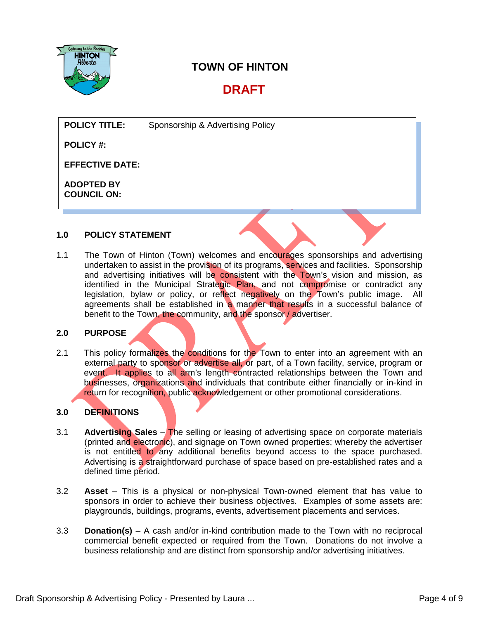

# **TOWN OF HINTON**

# **DRAFT**

**POLICY TITLE:** Sponsorship & Advertising Policy

**POLICY #:**

**EFFECTIVE DATE:**

**ADOPTED BY COUNCIL ON:** 

#### **1.0 POLICY STATEMENT**

1.1 The Town of Hinton (Town) welcomes and encourages sponsorships and advertising undertaken to assist in the provision of its programs, services and facilities. Sponsorship and advertising initiatives will be consistent with the Town's vision and mission, as identified in the Municipal Strategic Plan, and not compromise or contradict any<br>legislation, bylaw or policy, or reflect negatively on the Town's public image. All legislation, by law or policy, or reflect negatively on the Town's public image. agreements shall be established in a manner that results in a successful balance of benefit to the Town, the community, and the sponsor / advertiser.

#### **2.0 PURPOSE**

2.1 This policy formalizes the conditions for the Town to enter into an agreement with an external party to sponsor or advertise all, or part, of a Town facility, service, program or event. It applies to all arm's length contracted relationships between the Town and businesses, organizations and individuals that contribute either financially or in-kind in return for recognition, public acknowledgement or other promotional considerations.

## **3.0 DEFINITIONS**

- 3.1 **Advertising Sales** The selling or leasing of advertising space on corporate materials (printed and electronic), and signage on Town owned properties; whereby the advertiser is not entitled to any additional benefits beyond access to the space purchased. Advertising is a straightforward purchase of space based on pre-established rates and a defined time period.
- 3.2 **Asset** This is a physical or non-physical Town-owned element that has value to sponsors in order to achieve their business objectives. Examples of some assets are: playgrounds, buildings, programs, events, advertisement placements and services.
- 3.3 **Donation(s)** A cash and/or in-kind contribution made to the Town with no reciprocal commercial benefit expected or required from the Town. Donations do not involve a business relationship and are distinct from sponsorship and/or advertising initiatives.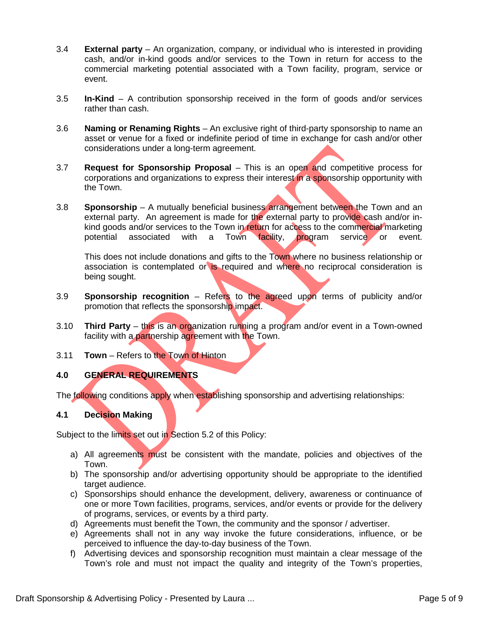- 3.4 **External party** An organization, company, or individual who is interested in providing cash, and/or in-kind goods and/or services to the Town in return for access to the commercial marketing potential associated with a Town facility, program, service or event.
- 3.5 **In-Kind** A contribution sponsorship received in the form of goods and/or services rather than cash.
- 3.6 **Naming or Renaming Rights** An exclusive right of third-party sponsorship to name an asset or venue for a fixed or indefinite period of time in exchange for cash and/or other considerations under a long-term agreement.
- 3.7 **Request for Sponsorship Proposal** This is an open and competitive process for corporations and organizations to express their interest in a sponsorship opportunity with the Town.
- 3.8 **Sponsorship** A mutually beneficial business arrangement between the Town and an external party. An agreement is made for the external party to provide cash and/or inkind goods and/or services to the Town in return for access to the commercial marketing potential associated with a Town facility, program service or event.

This does not include donations and gifts to the Town where no business relationship or association is contemplated or is required and where no reciprocal consideration is being sought.

- 3.9 **Sponsorship recognition** Refers to the agreed upon terms of publicity and/or promotion that reflects the sponsorship impact.
- 3.10 **Third Party** this is an organization running a program and/or event in a Town-owned facility with a partnership agreement with the Town.
- 3.11 **Town** Refers to the Town of Hinton

#### **4.0 GENERAL REQUIREMENTS**

The following conditions apply when establishing sponsorship and advertising relationships:

#### **4.1 Decision Making**

Subject to the limits set out in Section 5.2 of this Policy:

- a) All agreements must be consistent with the mandate, policies and objectives of the Town.
- b) The sponsorship and/or advertising opportunity should be appropriate to the identified target audience.
- c) Sponsorships should enhance the development, delivery, awareness or continuance of one or more Town facilities, programs, services, and/or events or provide for the delivery of programs, services, or events by a third party.
- d) Agreements must benefit the Town, the community and the sponsor / advertiser.
- e) Agreements shall not in any way invoke the future considerations, influence, or be perceived to influence the day-to-day business of the Town.
- f) Advertising devices and sponsorship recognition must maintain a clear message of the Town's role and must not impact the quality and integrity of the Town's properties,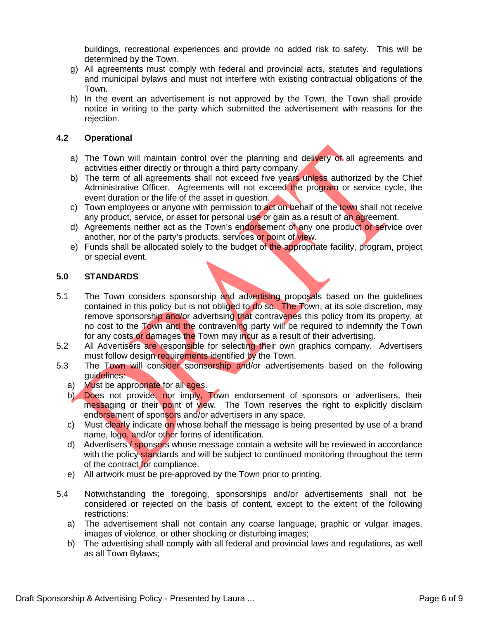buildings, recreational experiences and provide no added risk to safety. This will be determined by the Town.

- g) All agreements must comply with federal and provincial acts, statutes and regulations and municipal bylaws and must not interfere with existing contractual obligations of the Town.
- h) In the event an advertisement is not approved by the Town, the Town shall provide notice in writing to the party which submitted the advertisement with reasons for the rejection.

#### **4.2 Operational**

- a) The Town will maintain control over the planning and delivery of all agreements and activities either directly or through a third party company.
- b) The term of all agreements shall not exceed five years unless authorized by the Chief Administrative Officer. Agreements will not exceed the program or service cycle, the event duration or the life of the asset in question.
- c) Town employees or anyone with permission to act on behalf of the town shall not receive any product, service, or asset for personal use or gain as a result of an agreement.
- d) Agreements neither act as the Town's endorsement of any one product or service over another, nor of the party's products, services or point of view.
- e) Funds shall be allocated solely to the budget of the appropriate facility, program, project or special event.

#### **5.0 STANDARDS**

- 5.1 The Town considers sponsorship and advertising proposals based on the guidelines contained in this policy but is not obliged to do so. The Town, at its sole discretion, may remove sponsorship and/or advertising that contravenes this policy from its property, at no cost to the Town and the contravening party will be required to indemnify the Town for any costs or damages the Town may incur as a result of their advertising.
- 5.2 All Advertisers are responsible for selecting their own graphics company. Advertisers must follow design requirements identified by the Town.
- 5.3 The Town will consider sponsorship and/or advertisements based on the following guidelines:
	- a) Must be appropriate for all ages.
	- b) Does not provide, nor imply, Town endorsement of sponsors or advertisers, their messaging or their point of view. The Town reserves the right to explicitly disclaim endorsement of sponsors and/or advertisers in any space.
	- c) Must clearly indicate on whose behalf the message is being presented by use of a brand name, logo, and/or other forms of identification.
	- d) Advertisers / sponsors whose message contain a website will be reviewed in accordance with the policy standards and will be subject to continued monitoring throughout the term of the contract for compliance.
	- e) All artwork must be pre-approved by the Town prior to printing.
- 5.4 Notwithstanding the foregoing, sponsorships and/or advertisements shall not be considered or rejected on the basis of content, except to the extent of the following restrictions:
	- a) The advertisement shall not contain any coarse language, graphic or vulgar images, images of violence, or other shocking or disturbing images;
	- b) The advertising shall comply with all federal and provincial laws and regulations, as well as all Town Bylaws;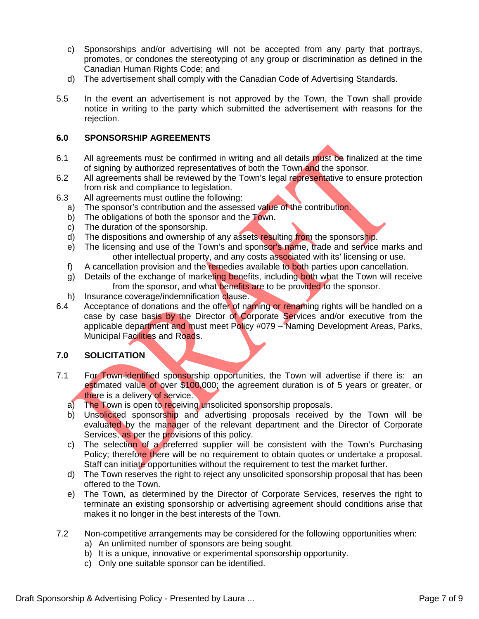- c) Sponsorships and/or advertising will not be accepted from any party that portrays, promotes, or condones the stereotyping of any group or discrimination as defined in the Canadian Human Rights Code; and
- d) The advertisement shall comply with the Canadian Code of Advertising Standards.
- 5.5 In the event an advertisement is not approved by the Town, the Town shall provide notice in writing to the party which submitted the advertisement with reasons for the rejection.

#### **6.0 SPONSORSHIP AGREEMENTS**

- 6.1 All agreements must be confirmed in writing and all details must be finalized at the time of signing by authorized representatives of both the Town and the sponsor.
- 6.2 All agreements shall be reviewed by the Town's legal representative to ensure protection from risk and compliance to legislation.
- 6.3 All agreements must outline the following:
	- a) The sponsor's contribution and the assessed value of the contribution.
	- b) The obligations of both the sponsor and the Town.
	- c) The duration of the sponsorship.
	- d) The dispositions and ownership of any assets resulting from the sponsorship.
	- e) The licensing and use of the Town's and sponsor's name, trade and service marks and other intellectual property, and any costs associated with its' licensing or use.
	- f) A cancellation provision and the remedies available to both parties upon cancellation.
	- g) Details of the exchange of marketing benefits, including both what the Town will receive from the sponsor, and what benefits are to be provided to the sponsor.
	- h) Insurance coverage/indemnification clause.
- 6.4 Acceptance of donations and the offer of naming or renaming rights will be handled on a case by case basis by the Director of Corporate Services and/or executive from the applicable department and must meet Policy #079 – Naming Development Areas, Parks, Municipal Facilities and Roads.

#### **7.0 SOLICITATION**

- 7.1 For Town-identified sponsorship opportunities, the Town will advertise if there is: an estimated value of over \$100,000; the agreement duration is of 5 years or greater, or there is a delivery of service.
	- a) The Town is open to receiving unsolicited sponsorship proposals.
	- b) Unsolicited sponsorship and advertising proposals received by the Town will be evaluated by the manager of the relevant department and the Director of Corporate Services, as per the provisions of this policy.
	- c) The selection of a preferred supplier will be consistent with the Town's Purchasing Policy; therefore there will be no requirement to obtain quotes or undertake a proposal. Staff can initiate opportunities without the requirement to test the market further.
	- d) The Town reserves the right to reject any unsolicited sponsorship proposal that has been offered to the Town.
	- e) The Town, as determined by the Director of Corporate Services, reserves the right to terminate an existing sponsorship or advertising agreement should conditions arise that makes it no longer in the best interests of the Town.
- 7.2 Non-competitive arrangements may be considered for the following opportunities when:
	- a) An unlimited number of sponsors are being sought.
	- b) It is a unique, innovative or experimental sponsorship opportunity.
	- c) Only one suitable sponsor can be identified.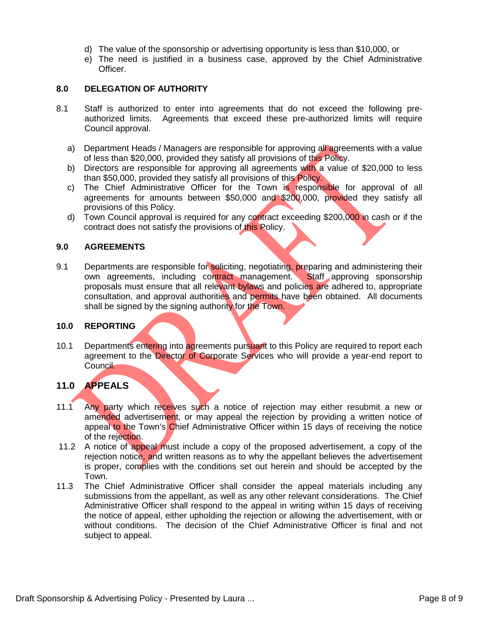- d) The value of the sponsorship or advertising opportunity is less than \$10,000, or
- e) The need is justified in a business case, approved by the Chief Administrative Officer.

#### **8.0 DELEGATION OF AUTHORITY**

- 8.1 Staff is authorized to enter into agreements that do not exceed the following preauthorized limits. Agreements that exceed these pre-authorized limits will require Council approval.
	- a) Department Heads / Managers are responsible for approving all agreements with a value of less than \$20,000, provided they satisfy all provisions of this Policy.
	- b) Directors are responsible for approving all agreements with a value of \$20,000 to less than \$50,000, provided they satisfy all provisions of this Policy.
	- c) The Chief Administrative Officer for the Town is responsible for approval of all agreements for amounts between \$50,000 and \$200,000, provided they satisfy all provisions of this Policy.
	- d) Town Council approval is required for any contract exceeding \$200,000 in cash or if the contract does not satisfy the provisions of this Policy.

#### **9.0 AGREEMENTS**

9.1 Departments are responsible for soliciting, negotiating, preparing and administering their own agreements, including contract management. Staff approving sponsorship proposals must ensure that all relevant bylaws and policies are adhered to, appropriate consultation, and approval authorities and permits have been obtained. All documents shall be signed by the signing authority for the Town.

#### **10.0 REPORTING**

10.1 Departments entering into agreements pursuant to this Policy are required to report each agreement to the Director of Corporate Services who will provide a year-end report to Council.

#### **11.0 APPEALS**

- 11.1 Any party which receives such a notice of rejection may either resubmit a new or amended advertisement, or may appeal the rejection by providing a written notice of appeal to the Town's Chief Administrative Officer within 15 days of receiving the notice of the rejection.
- 11.2 A notice of appeal must include a copy of the proposed advertisement, a copy of the rejection notice, and written reasons as to why the appellant believes the advertisement is proper, complies with the conditions set out herein and should be accepted by the Town.
- 11.3 The Chief Administrative Officer shall consider the appeal materials including any submissions from the appellant, as well as any other relevant considerations. The Chief Administrative Officer shall respond to the appeal in writing within 15 days of receiving the notice of appeal, either upholding the rejection or allowing the advertisement, with or without conditions. The decision of the Chief Administrative Officer is final and not subject to appeal.